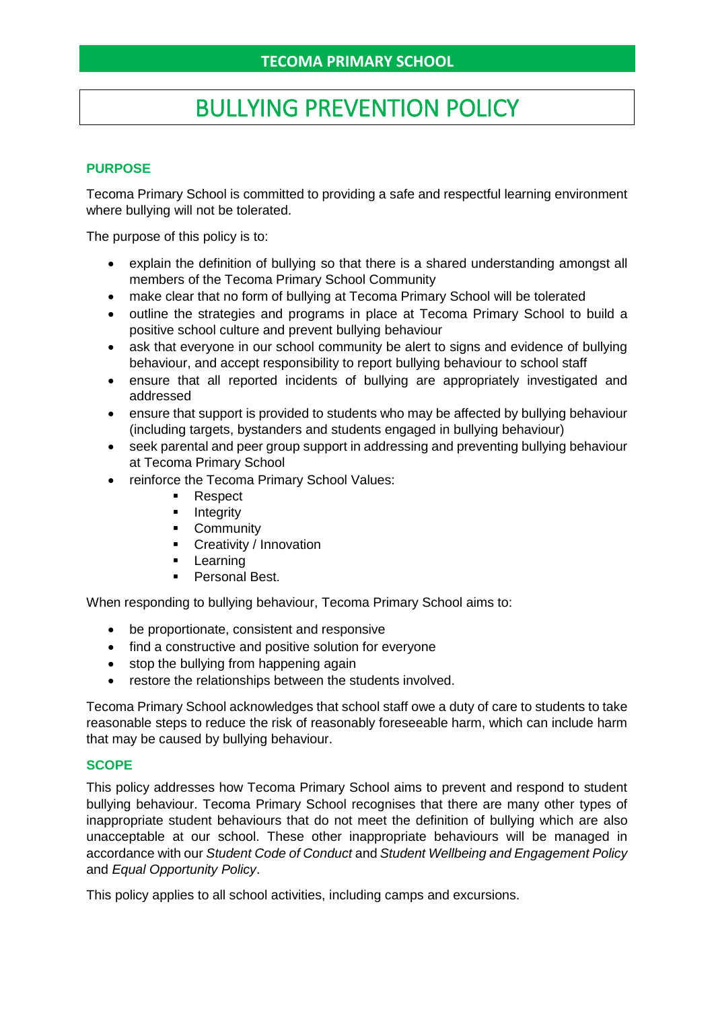# BULLYING PREVENTION POLICY

## **PURPOSE**

Tecoma Primary School is committed to providing a safe and respectful learning environment where bullying will not be tolerated.

The purpose of this policy is to:

- explain the definition of bullying so that there is a shared understanding amongst all members of the Tecoma Primary School Community
- make clear that no form of bullying at Tecoma Primary School will be tolerated
- outline the strategies and programs in place at Tecoma Primary School to build a positive school culture and prevent bullying behaviour
- ask that everyone in our school community be alert to signs and evidence of bullying behaviour, and accept responsibility to report bullying behaviour to school staff
- ensure that all reported incidents of bullying are appropriately investigated and addressed
- ensure that support is provided to students who may be affected by bullying behaviour (including targets, bystanders and students engaged in bullying behaviour)
- seek parental and peer group support in addressing and preventing bullying behaviour at Tecoma Primary School
- reinforce the Tecoma Primary School Values:
	- Respect
	- **■** Integrity
	- **•** Community
	- **•** Creativity / Innovation
	- Learning
	- Personal Best.

When responding to bullying behaviour, Tecoma Primary School aims to:

- be proportionate, consistent and responsive
- find a constructive and positive solution for everyone
- stop the bullying from happening again
- restore the relationships between the students involved.

Tecoma Primary School acknowledges that school staff owe a duty of care to students to take reasonable steps to reduce the risk of reasonably foreseeable harm, which can include harm that may be caused by bullying behaviour.

## **SCOPE**

This policy addresses how Tecoma Primary School aims to prevent and respond to student bullying behaviour. Tecoma Primary School recognises that there are many other types of inappropriate student behaviours that do not meet the definition of bullying which are also unacceptable at our school. These other inappropriate behaviours will be managed in accordance with our *Student Code of Conduct* and *Student Wellbeing and Engagement Policy*  and *Equal Opportunity Policy*.

This policy applies to all school activities, including camps and excursions.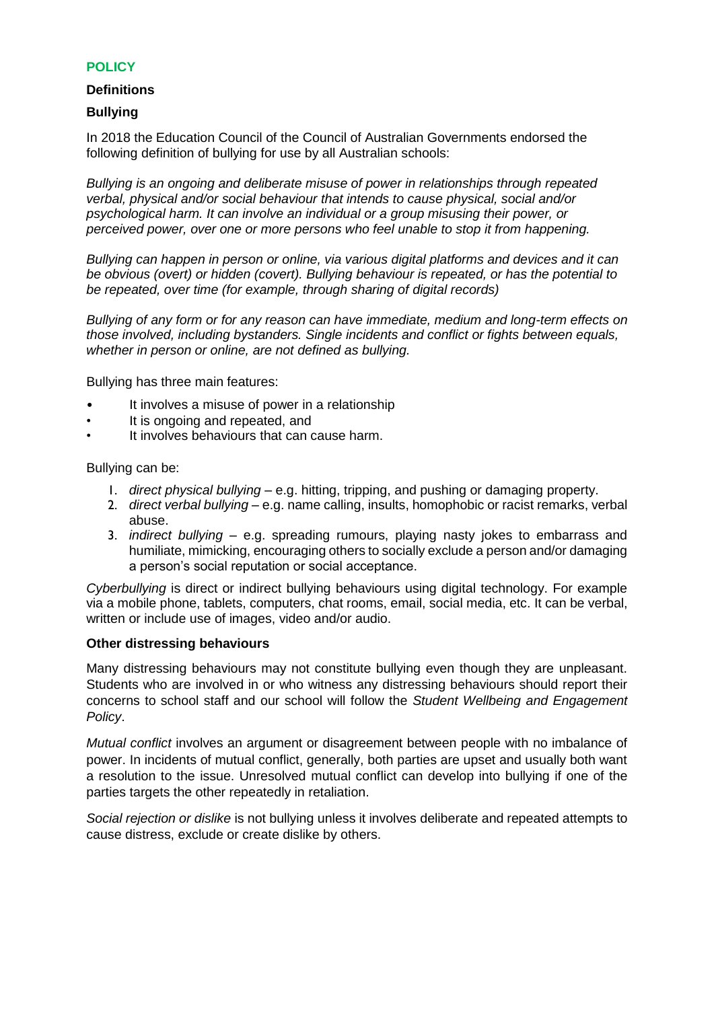## **POLICY**

#### **Definitions**

#### **Bullying**

In 2018 the Education Council of the Council of Australian Governments endorsed the following definition of bullying for use by all Australian schools:

*Bullying is an ongoing and deliberate misuse of power in relationships through repeated verbal, physical and/or social behaviour that intends to cause physical, social and/or psychological harm. It can involve an individual or a group misusing their power, or perceived power, over one or more persons who feel unable to stop it from happening.*

*Bullying can happen in person or online, via various digital platforms and devices and it can be obvious (overt) or hidden (covert). Bullying behaviour is repeated, or has the potential to be repeated, over time (for example, through sharing of digital records)*

*Bullying of any form or for any reason can have immediate, medium and long-term effects on those involved, including bystanders. Single incidents and conflict or fights between equals, whether in person or online, are not defined as bullying.* 

Bullying has three main features:

- It involves a misuse of power in a relationship
- It is ongoing and repeated, and
- It involves behaviours that can cause harm.

#### Bullying can be:

- 1. *direct physical bullying* e.g. hitting, tripping, and pushing or damaging property.
- 2. *direct verbal bullying* e.g. name calling, insults, homophobic or racist remarks, verbal abuse.
- 3. *indirect bullying* e.g. spreading rumours, playing nasty jokes to embarrass and humiliate, mimicking, encouraging others to socially exclude a person and/or damaging a person's social reputation or social acceptance.

*Cyberbullying* is direct or indirect bullying behaviours using digital technology. For example via a mobile phone, tablets, computers, chat rooms, email, social media, etc. It can be verbal, written or include use of images, video and/or audio.

#### **Other distressing behaviours**

Many distressing behaviours may not constitute bullying even though they are unpleasant. Students who are involved in or who witness any distressing behaviours should report their concerns to school staff and our school will follow the *Student Wellbeing and Engagement Policy*.

*Mutual conflict* involves an argument or disagreement between people with no imbalance of power. In incidents of mutual conflict, generally, both parties are upset and usually both want a resolution to the issue. Unresolved mutual conflict can develop into bullying if one of the parties targets the other repeatedly in retaliation.

*Social rejection or dislike* is not bullying unless it involves deliberate and repeated attempts to cause distress, exclude or create dislike by others.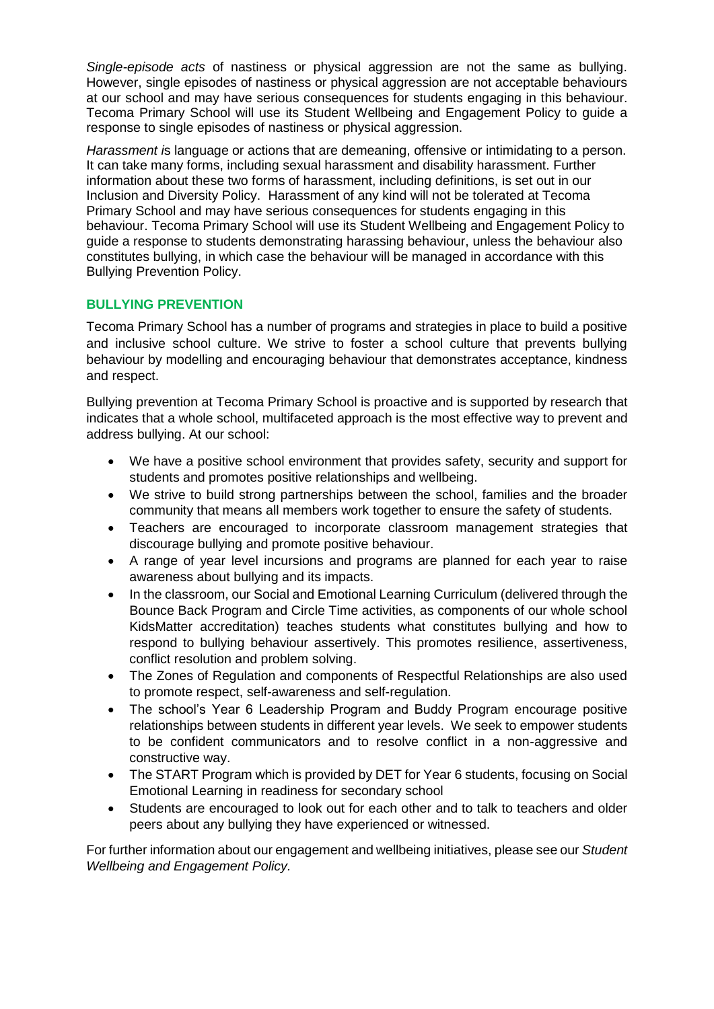*Single-episode acts* of nastiness or physical aggression are not the same as bullying. However, single episodes of nastiness or physical aggression are not acceptable behaviours at our school and may have serious consequences for students engaging in this behaviour. Tecoma Primary School will use its Student Wellbeing and Engagement Policy to guide a response to single episodes of nastiness or physical aggression.

*Harassment i*s language or actions that are demeaning, offensive or intimidating to a person. It can take many forms, including sexual harassment and disability harassment. Further information about these two forms of harassment, including definitions, is set out in our Inclusion and Diversity Policy. Harassment of any kind will not be tolerated at Tecoma Primary School and may have serious consequences for students engaging in this behaviour. Tecoma Primary School will use its Student Wellbeing and Engagement Policy to guide a response to students demonstrating harassing behaviour, unless the behaviour also constitutes bullying, in which case the behaviour will be managed in accordance with this Bullying Prevention Policy.

## **BULLYING PREVENTION**

Tecoma Primary School has a number of programs and strategies in place to build a positive and inclusive school culture. We strive to foster a school culture that prevents bullying behaviour by modelling and encouraging behaviour that demonstrates acceptance, kindness and respect.

Bullying prevention at Tecoma Primary School is proactive and is supported by research that indicates that a whole school, multifaceted approach is the most effective way to prevent and address bullying. At our school:

- We have a positive school environment that provides safety, security and support for students and promotes positive relationships and wellbeing.
- We strive to build strong partnerships between the school, families and the broader community that means all members work together to ensure the safety of students.
- Teachers are encouraged to incorporate classroom management strategies that discourage bullying and promote positive behaviour.
- A range of year level incursions and programs are planned for each year to raise awareness about bullying and its impacts.
- In the classroom, our Social and Emotional Learning Curriculum (delivered through the Bounce Back Program and Circle Time activities, as components of our whole school KidsMatter accreditation) teaches students what constitutes bullying and how to respond to bullying behaviour assertively. This promotes resilience, assertiveness, conflict resolution and problem solving.
- The Zones of Regulation and components of Respectful Relationships are also used to promote respect, self-awareness and self-regulation.
- The school's Year 6 Leadership Program and Buddy Program encourage positive relationships between students in different year levels. We seek to empower students to be confident communicators and to resolve conflict in a non-aggressive and constructive way.
- The START Program which is provided by DET for Year 6 students, focusing on Social Emotional Learning in readiness for secondary school
- Students are encouraged to look out for each other and to talk to teachers and older peers about any bullying they have experienced or witnessed.

For further information about our engagement and wellbeing initiatives, please see our *Student Wellbeing and Engagement Policy.*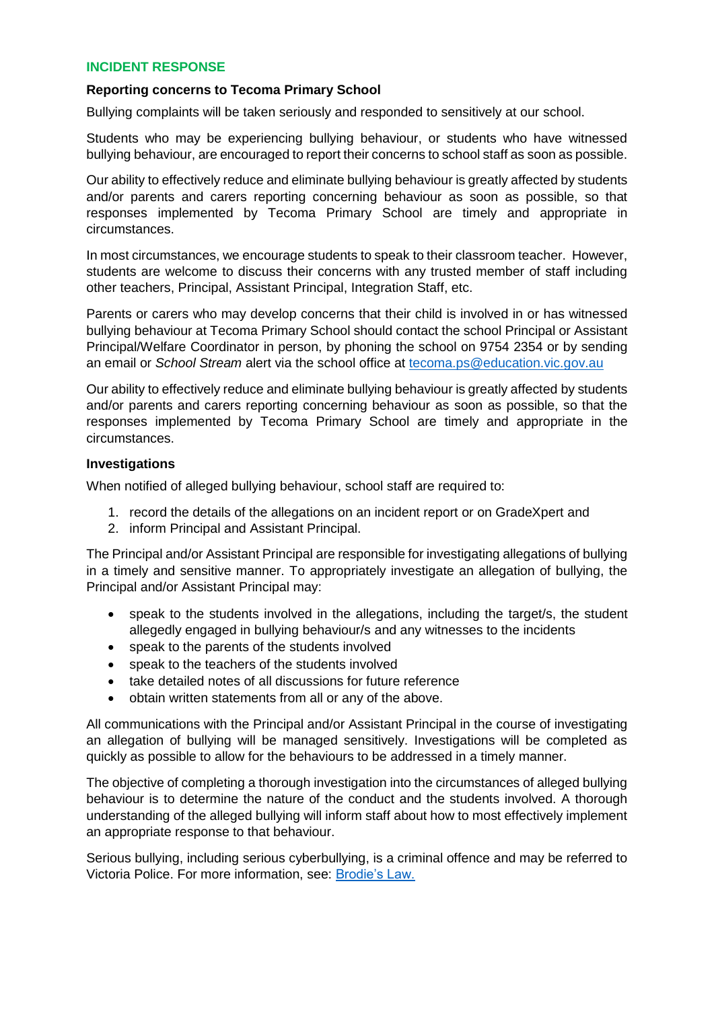#### **INCIDENT RESPONSE**

#### **Reporting concerns to Tecoma Primary School**

Bullying complaints will be taken seriously and responded to sensitively at our school.

Students who may be experiencing bullying behaviour, or students who have witnessed bullying behaviour, are encouraged to report their concerns to school staff as soon as possible.

Our ability to effectively reduce and eliminate bullying behaviour is greatly affected by students and/or parents and carers reporting concerning behaviour as soon as possible, so that responses implemented by Tecoma Primary School are timely and appropriate in circumstances.

In most circumstances, we encourage students to speak to their classroom teacher. However, students are welcome to discuss their concerns with any trusted member of staff including other teachers, Principal, Assistant Principal, Integration Staff, etc.

Parents or carers who may develop concerns that their child is involved in or has witnessed bullying behaviour at Tecoma Primary School should contact the school Principal or Assistant Principal/Welfare Coordinator in person, by phoning the school on 9754 2354 or by sending an email or *School Stream* alert via the school office at [tecoma.ps@education.vic.gov.au](mailto:tecoma.ps@education.vic.gov.au)

Our ability to effectively reduce and eliminate bullying behaviour is greatly affected by students and/or parents and carers reporting concerning behaviour as soon as possible, so that the responses implemented by Tecoma Primary School are timely and appropriate in the circumstances.

#### **Investigations**

When notified of alleged bullying behaviour, school staff are required to:

- 1. record the details of the allegations on an incident report or on GradeXpert and
- 2. inform Principal and Assistant Principal.

The Principal and/or Assistant Principal are responsible for investigating allegations of bullying in a timely and sensitive manner. To appropriately investigate an allegation of bullying, the Principal and/or Assistant Principal may:

- speak to the students involved in the allegations, including the target/s, the student allegedly engaged in bullying behaviour/s and any witnesses to the incidents
- speak to the parents of the students involved
- speak to the teachers of the students involved
- take detailed notes of all discussions for future reference
- obtain written statements from all or any of the above.

All communications with the Principal and/or Assistant Principal in the course of investigating an allegation of bullying will be managed sensitively. Investigations will be completed as quickly as possible to allow for the behaviours to be addressed in a timely manner.

The objective of completing a thorough investigation into the circumstances of alleged bullying behaviour is to determine the nature of the conduct and the students involved. A thorough understanding of the alleged bullying will inform staff about how to most effectively implement an appropriate response to that behaviour.

Serious bullying, including serious cyberbullying, is a criminal offence and may be referred to Victoria Police. For more information, see: [Brodie's Law.](http://www.education.vic.gov.au/about/programs/bullystoppers/Pages/advicesheetbrodieslaw.aspx)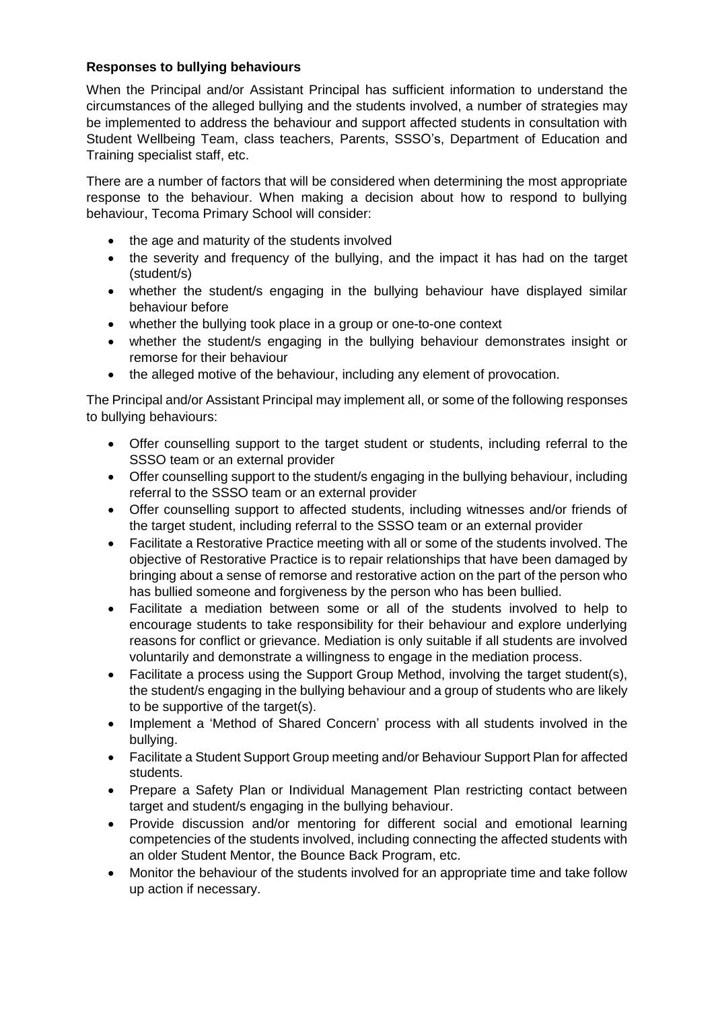## **Responses to bullying behaviours**

When the Principal and/or Assistant Principal has sufficient information to understand the circumstances of the alleged bullying and the students involved, a number of strategies may be implemented to address the behaviour and support affected students in consultation with Student Wellbeing Team, class teachers, Parents, SSSO's, Department of Education and Training specialist staff, etc.

There are a number of factors that will be considered when determining the most appropriate response to the behaviour. When making a decision about how to respond to bullying behaviour, Tecoma Primary School will consider:

- the age and maturity of the students involved
- the severity and frequency of the bullying, and the impact it has had on the target (student/s)
- whether the student/s engaging in the bullying behaviour have displayed similar behaviour before
- whether the bullying took place in a group or one-to-one context
- whether the student/s engaging in the bullying behaviour demonstrates insight or remorse for their behaviour
- the alleged motive of the behaviour, including any element of provocation.

The Principal and/or Assistant Principal may implement all, or some of the following responses to bullying behaviours:

- Offer counselling support to the target student or students, including referral to the SSSO team or an external provider
- Offer counselling support to the student/s engaging in the bullying behaviour, including referral to the SSSO team or an external provider
- Offer counselling support to affected students, including witnesses and/or friends of the target student, including referral to the SSSO team or an external provider
- Facilitate a Restorative Practice meeting with all or some of the students involved. The objective of Restorative Practice is to repair relationships that have been damaged by bringing about a sense of remorse and restorative action on the part of the person who has bullied someone and forgiveness by the person who has been bullied.
- Facilitate a mediation between some or all of the students involved to help to encourage students to take responsibility for their behaviour and explore underlying reasons for conflict or grievance. Mediation is only suitable if all students are involved voluntarily and demonstrate a willingness to engage in the mediation process.
- Facilitate a process using the Support Group Method, involving the target student(s), the student/s engaging in the bullying behaviour and a group of students who are likely to be supportive of the target(s).
- Implement a 'Method of Shared Concern' process with all students involved in the bullying.
- Facilitate a Student Support Group meeting and/or Behaviour Support Plan for affected students.
- Prepare a Safety Plan or Individual Management Plan restricting contact between target and student/s engaging in the bullying behaviour.
- Provide discussion and/or mentoring for different social and emotional learning competencies of the students involved, including connecting the affected students with an older Student Mentor, the Bounce Back Program, etc.
- Monitor the behaviour of the students involved for an appropriate time and take follow up action if necessary.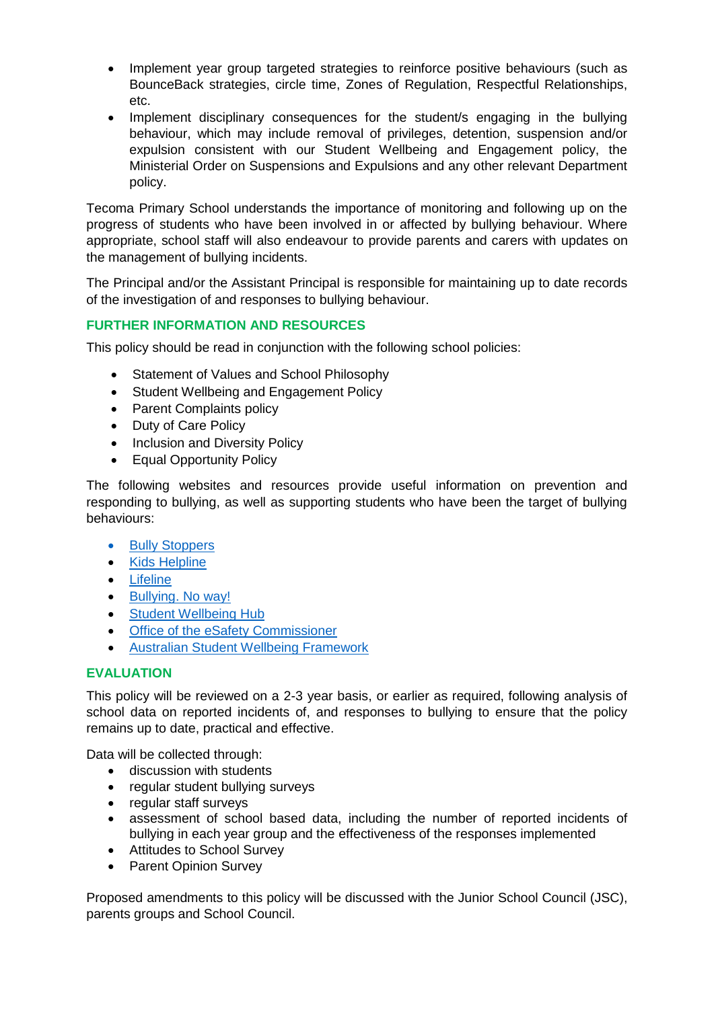- Implement year group targeted strategies to reinforce positive behaviours (such as BounceBack strategies, circle time, Zones of Regulation, Respectful Relationships, etc.
- Implement disciplinary consequences for the student/s engaging in the bullying behaviour, which may include removal of privileges, detention, suspension and/or expulsion consistent with our Student Wellbeing and Engagement policy, the Ministerial Order on Suspensions and Expulsions and any other relevant Department policy.

Tecoma Primary School understands the importance of monitoring and following up on the progress of students who have been involved in or affected by bullying behaviour. Where appropriate, school staff will also endeavour to provide parents and carers with updates on the management of bullying incidents.

The Principal and/or the Assistant Principal is responsible for maintaining up to date records of the investigation of and responses to bullying behaviour.

## **FURTHER INFORMATION AND RESOURCES**

This policy should be read in conjunction with the following school policies:

- Statement of Values and School Philosophy
- Student Wellbeing and Engagement Policy
- Parent Complaints policy
- Duty of Care Policy
- Inclusion and Diversity Policy
- Equal Opportunity Policy

The following websites and resources provide useful information on prevention and responding to bullying, as well as supporting students who have been the target of bullying behaviours:

- [Bully Stoppers](https://www.education.vic.gov.au/about/programs/bullystoppers/Pages/default.aspx)
- [Kids Helpline](https://kidshelpline.com.au/)
- [Lifeline](https://www.lifeline.org.au/)
- [Bullying. No way!](https://bullyingnoway.gov.au/)
- [Student Wellbeing Hub](https://www.studentwellbeinghub.edu.au/)
- [Office of the eSafety Commissioner](https://www.esafety.gov.au/)
- [Australian Student Wellbeing Framework](https://www.studentwellbeinghub.edu.au/resources/detail?id=dd6b5222-d5c5-6d32-997d-ff0000a69c30#/)

## **EVALUATION**

This policy will be reviewed on a 2-3 year basis, or earlier as required, following analysis of school data on reported incidents of, and responses to bullying to ensure that the policy remains up to date, practical and effective.

Data will be collected through:

- discussion with students
- regular student bullying surveys
- regular staff surveys
- assessment of school based data, including the number of reported incidents of bullying in each year group and the effectiveness of the responses implemented
- Attitudes to School Survey
- Parent Opinion Survey

Proposed amendments to this policy will be discussed with the Junior School Council (JSC), parents groups and School Council.